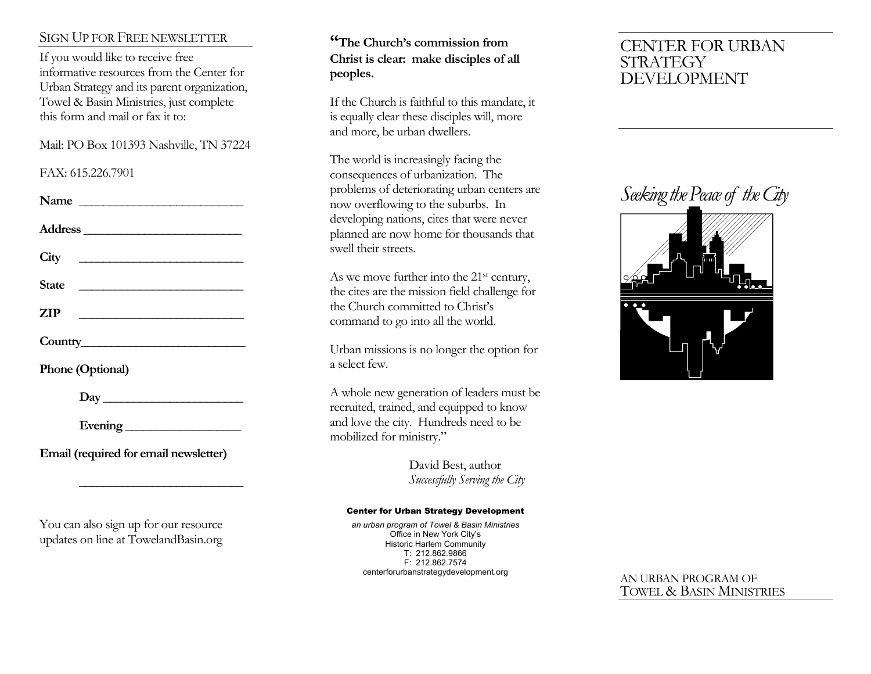### SIGN UP FOR FREE NEWSLETTER

If you would like to receive free informative resources from the Center for Urban Strategy and its parent organization, Towel & Basin Ministries, just complete this form and mail or fax it to:

Mail: PO Box 101393 Nashville, TN 37224

#### FAX: 615.226.7901

| Address<br>$\mathbb{ZIP}$<br>Phone (Optional)<br>Day<br>Evening<br>Email (required for email newsletter) | Name |  |
|----------------------------------------------------------------------------------------------------------|------|--|
|                                                                                                          |      |  |
|                                                                                                          |      |  |
|                                                                                                          |      |  |
|                                                                                                          |      |  |
|                                                                                                          |      |  |
|                                                                                                          |      |  |
|                                                                                                          |      |  |
|                                                                                                          |      |  |
|                                                                                                          |      |  |

You can also sign up for our resource updates on line at TowelandBasin.org

 **\_\_\_\_\_\_\_\_\_\_\_\_\_\_\_\_\_\_\_\_\_\_\_\_\_\_\_**

## **"The Church's commission from Christ is clear: make disciples of all peoples.**

If the Church is faithful to this mandate, it is equally clear these disciples will, more and more, be urban dwellers.

The world is increasingly facing the consequences of urbanization. The problems of deteriorating urban centers are now overflowing to the suburbs. In developing nations, cites that were never planned are now home for thousands that swell their streets.

As we move further into the 21<sup>st</sup> century, the cites are the mission field challenge for the Church committed to Christ's command to go into all the world.

Urban missions is no longer the option for a select few.

A whole new generation of leaders must be recruited, trained, and equipped to know and love the city. Hundreds need to be mobilized for ministry."

> David Best, author *Successfully Serving the City*

#### Center for Urban Strategy Development

*an urban program of Towel & Basin Ministries* Office in New York City's Historic Harlem Community T: 212.862.9866 F: 212.862.7574 centerforurbanstrategydevelopment.org

## CENTER FOR URBAN **STRATEGY** DEVELOPMENT

## *Seeking the Peace of the City*



#### AN URBAN PROGRAM OF TOWEL & BASIN MINISTRIES